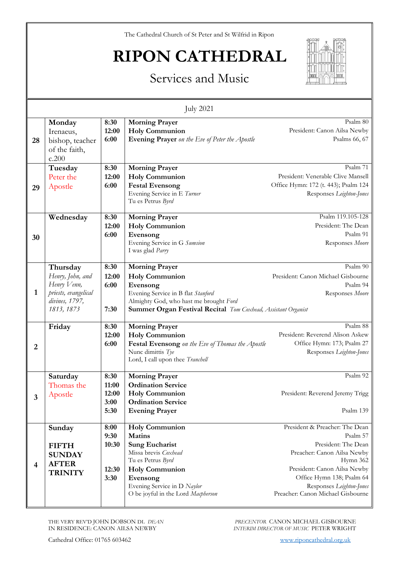The Cathedral Church of St Peter and St Wilfrid in Ripon

## **RIPON CATHEDRAL**

## Services and Music



| <b>July 2021</b> |                                                                                                     |                                        |                                                                                                                                                                                                                        |                                                                                                                                                                                                                                            |  |  |
|------------------|-----------------------------------------------------------------------------------------------------|----------------------------------------|------------------------------------------------------------------------------------------------------------------------------------------------------------------------------------------------------------------------|--------------------------------------------------------------------------------------------------------------------------------------------------------------------------------------------------------------------------------------------|--|--|
| 28               | Monday<br>Irenaeus,<br>bishop, teacher<br>of the faith,<br>c.200                                    | 8:30<br>12:00<br>6:00                  | <b>Morning Prayer</b><br><b>Holy Communion</b><br>Evening Prayer on the Eve of Peter the Apostle                                                                                                                       | Psalm 80<br>President: Canon Ailsa Newby<br>Psalms 66, 67                                                                                                                                                                                  |  |  |
| 29               | Tuesday<br>Peter the<br>Apostle                                                                     | 8:30<br>12:00<br>6:00                  | <b>Morning Prayer</b><br><b>Holy Communion</b><br><b>Festal Evensong</b><br>Evening Service in E Turner<br>Tu es Petrus Byrd                                                                                           | Psalm 71<br>President: Venerable Clive Mansell<br>Office Hymn: 172 (t. 443); Psalm 124<br>Responses Leighton-Jones                                                                                                                         |  |  |
| 30               | Wednesday                                                                                           | 8:30<br>12:00<br>6:00                  | <b>Morning Prayer</b><br><b>Holy Communion</b><br>Evensong<br>Evening Service in G Sumsion<br>I was glad Parry                                                                                                         | Psalm 119.105-128<br>President: The Dean<br>Psalm 91<br>Responses Moore                                                                                                                                                                    |  |  |
| 1                | Thursday<br>Henry, John, and<br>Henry Venn,<br>priests, evangelical<br>divines, 1797,<br>1813, 1873 | 8:30<br>12:00<br>6:00<br>7:30          | <b>Morning Prayer</b><br><b>Holy Communion</b><br>Evensong<br>Evening Service in B flat Stanford<br>Almighty God, who hast me brought Ford<br><b>Summer Organ Festival Recital</b> Tom Coxhead, Assistant Organist     | Psalm 90<br>President: Canon Michael Gisbourne<br>Psalm 94<br>Responses Moore                                                                                                                                                              |  |  |
| 2                | Friday                                                                                              | 8:30<br>12:00<br>6:00                  | <b>Morning Prayer</b><br><b>Holy Communion</b><br>Festal Evensong on the Eve of Thomas the Apostle<br>Nunc dimittis Tye<br>Lord, I call upon thee Tranchell                                                            | Psalm 88<br>President: Reverend Alison Askew<br>Office Hymn: 173; Psalm 27<br>Responses Leighton-Jones                                                                                                                                     |  |  |
|                  | Saturday<br>Thomas the<br>Apostle                                                                   | 8:30<br>11:00<br>12:00<br>3:00<br>5:30 | <b>Morning Prayer</b><br><b>Ordination Service</b><br><b>Holy Communion</b><br><b>Ordination Service</b><br><b>Evening Prayer</b>                                                                                      | Psalm 92<br>President: Reverend Jeremy Trigg<br>Psalm 139                                                                                                                                                                                  |  |  |
| 4                | Sunday<br><b>FIFTH</b><br><b>SUNDAY</b><br><b>AFTER</b><br><b>TRINITY</b>                           | 8:00<br>9:30<br>10:30<br>12:30<br>3:30 | <b>Holy Communion</b><br><b>Matins</b><br><b>Sung Eucharist</b><br>Missa brevis Coxhead<br>Tu es Petrus Byrd<br><b>Holy Communion</b><br>Evensong<br>Evening Service in D Naylor<br>O be joyful in the Lord Macpherson | President & Preacher: The Dean<br>Psalm 57<br>President: The Dean<br>Preacher: Canon Ailsa Newby<br>Hymn 362<br>President: Canon Ailsa Newby<br>Office Hymn 138; Psalm 64<br>Responses Leighton-Jones<br>Preacher: Canon Michael Gisbourne |  |  |

THE VERY REV'D JOHN DOBSON DL *DEAN* IN RESIDENCE: CANON AILSA NEWBY

*PRECENTOR* CANON MICHAEL GISBOURNE *INTERIM DIRECTOR OF MUSIC* PETER WRIGHT